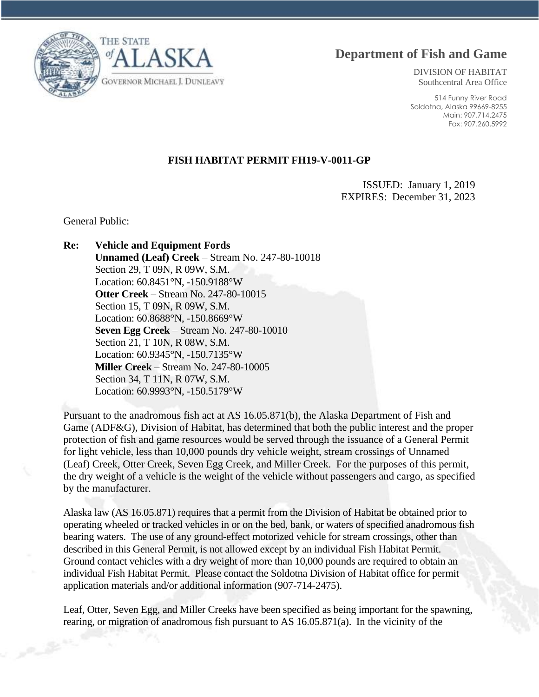**Department of Fish and Game**



DIVISION OF HABITAT Southcentral Area Office

514 Funny River Road Soldotna, Alaska 99669-8255 Main: 907.714.2475 Fax: 907.260.5992

## **FISH HABITAT PERMIT FH19-V-0011-GP**

ISSUED: January 1, 2019 EXPIRES: December 31, 2023

General Public:

## **Re: Vehicle and Equipment Fords**

**Unnamed (Leaf) Creek** – Stream No. 247-80-10018 Section 29, T 09N, R 09W, S.M. Location: 60.8451°N, -150.9188°W **Otter Creek** – Stream No. 247-80-10015 Section 15, T 09N, R 09W, S.M. Location: 60.8688°N, -150.8669°W **Seven Egg Creek** – Stream No. 247-80-10010 Section 21, T 10N, R 08W, S.M. Location: 60.9345°N, -150.7135°W **Miller Creek** – Stream No. 247-80-10005 Section 34, T 11N, R 07W, S.M. Location: 60.9993°N, -150.5179°W

Pursuant to the anadromous fish act at AS 16.05.871(b), the Alaska Department of Fish and Game (ADF&G), Division of Habitat, has determined that both the public interest and the proper protection of fish and game resources would be served through the issuance of a General Permit for light vehicle, less than 10,000 pounds dry vehicle weight, stream crossings of Unnamed (Leaf) Creek, Otter Creek, Seven Egg Creek, and Miller Creek. For the purposes of this permit, the dry weight of a vehicle is the weight of the vehicle without passengers and cargo, as specified by the manufacturer.

Alaska law (AS 16.05.871) requires that a permit from the Division of Habitat be obtained prior to operating wheeled or tracked vehicles in or on the bed, bank, or waters of specified anadromous fish bearing waters. The use of any ground-effect motorized vehicle for stream crossings, other than described in this General Permit, is not allowed except by an individual Fish Habitat Permit. Ground contact vehicles with a dry weight of more than 10,000 pounds are required to obtain an individual Fish Habitat Permit. Please contact the Soldotna Division of Habitat office for permit application materials and/or additional information (907-714-2475).

Leaf, Otter, Seven Egg, and Miller Creeks have been specified as being important for the spawning, rearing, or migration of anadromous fish pursuant to AS 16.05.871(a). In the vicinity of the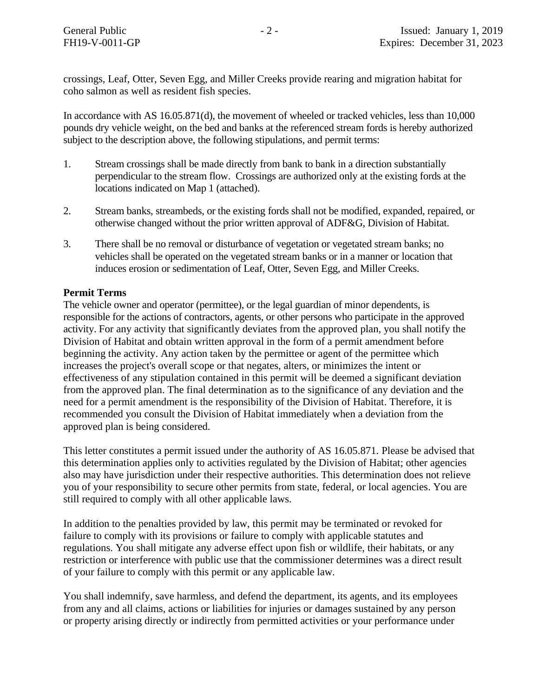crossings, Leaf, Otter, Seven Egg, and Miller Creeks provide rearing and migration habitat for coho salmon as well as resident fish species.

In accordance with AS 16.05.871(d), the movement of wheeled or tracked vehicles, less than 10,000 pounds dry vehicle weight, on the bed and banks at the referenced stream fords is hereby authorized subject to the description above, the following stipulations, and permit terms:

- 1. Stream crossings shall be made directly from bank to bank in a direction substantially perpendicular to the stream flow. Crossings are authorized only at the existing fords at the locations indicated on Map 1 (attached).
- 2. Stream banks, streambeds, or the existing fords shall not be modified, expanded, repaired, or otherwise changed without the prior written approval of ADF&G, Division of Habitat.
- 3. There shall be no removal or disturbance of vegetation or vegetated stream banks; no vehicles shall be operated on the vegetated stream banks or in a manner or location that induces erosion or sedimentation of Leaf, Otter, Seven Egg, and Miller Creeks.

## **Permit Terms**

The vehicle owner and operator (permittee), or the legal guardian of minor dependents, is responsible for the actions of contractors, agents, or other persons who participate in the approved activity. For any activity that significantly deviates from the approved plan, you shall notify the Division of Habitat and obtain written approval in the form of a permit amendment before beginning the activity. Any action taken by the permittee or agent of the permittee which increases the project's overall scope or that negates, alters, or minimizes the intent or effectiveness of any stipulation contained in this permit will be deemed a significant deviation from the approved plan. The final determination as to the significance of any deviation and the need for a permit amendment is the responsibility of the Division of Habitat. Therefore, it is recommended you consult the Division of Habitat immediately when a deviation from the approved plan is being considered.

This letter constitutes a permit issued under the authority of AS 16.05.871. Please be advised that this determination applies only to activities regulated by the Division of Habitat; other agencies also may have jurisdiction under their respective authorities. This determination does not relieve you of your responsibility to secure other permits from state, federal, or local agencies. You are still required to comply with all other applicable laws.

In addition to the penalties provided by law, this permit may be terminated or revoked for failure to comply with its provisions or failure to comply with applicable statutes and regulations. You shall mitigate any adverse effect upon fish or wildlife, their habitats, or any restriction or interference with public use that the commissioner determines was a direct result of your failure to comply with this permit or any applicable law.

You shall indemnify, save harmless, and defend the department, its agents, and its employees from any and all claims, actions or liabilities for injuries or damages sustained by any person or property arising directly or indirectly from permitted activities or your performance under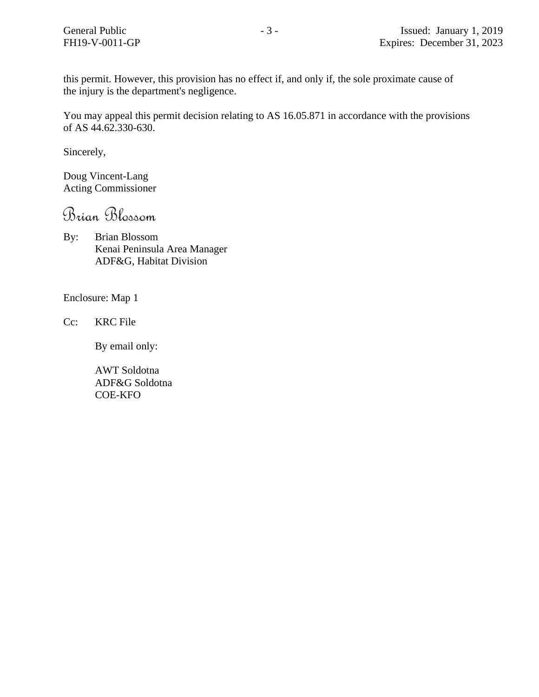this permit. However, this provision has no effect if, and only if, the sole proximate cause of the injury is the department's negligence.

You may appeal this permit decision relating to AS 16.05.871 in accordance with the provisions of AS 44.62.330-630.

Sincerely,

Doug Vincent-Lang Acting Commissioner

Brian Blossom

By: Brian Blossom Kenai Peninsula Area Manager ADF&G, Habitat Division

Enclosure: Map 1

Cc: KRC File

By email only:

AWT Soldotna ADF&G Soldotna COE-KFO